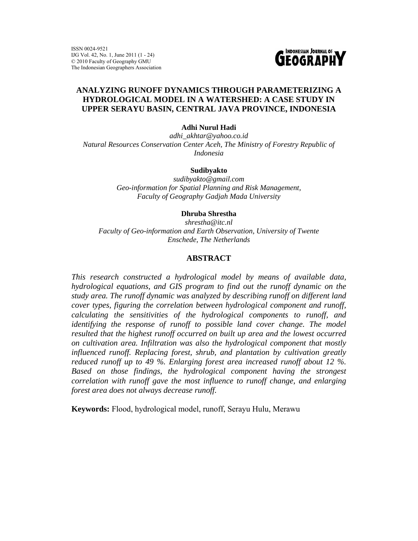ISSN 0024-9521 IJG Vol. 42, No. 1, June 2011 (1 - 24) © 2010 Faculty of Geography GMU The Indonesian Geographers Association



# **ANALYZING RUNOFF DYNAMICS THROUGH PARAMETERIZING A HYDROLOGICAL MODEL IN A WATERSHED: A CASE STUDY IN UPPER SERAYU BASIN, CENTRAL JAVA PROVINCE, INDONESIA**

**Adhi Nurul Hadi** 

*adhi\_akhtar@yahoo.co.id Natural Resources Conservation Center Aceh, The Ministry of Forestry Republic of Indonesia* 

### **Sudibyakto**

*sudibyakto@gmail.com Geo-information for Spatial Planning and Risk Management, Faculty of Geography Gadjah Mada University* 

### **Dhruba Shrestha**

*shrestha@itc.nl Faculty of Geo-information and Earth Observation, University of Twente Enschede, The Netherlands* 

### **ABSTRACT**

*This research constructed a hydrological model by means of available data, hydrological equations, and GIS program to find out the runoff dynamic on the study area. The runoff dynamic was analyzed by describing runoff on different land cover types, figuring the correlation between hydrological component and runoff, calculating the sensitivities of the hydrological components to runoff, and identifying the response of runoff to possible land cover change. The model resulted that the highest runoff occurred on built up area and the lowest occurred on cultivation area. Infiltration was also the hydrological component that mostly influenced runoff. Replacing forest, shrub, and plantation by cultivation greatly reduced runoff up to 49 %. Enlarging forest area increased runoff about 12 %. Based on those findings, the hydrological component having the strongest correlation with runoff gave the most influence to runoff change, and enlarging forest area does not always decrease runoff.* 

**Keywords:** Flood, hydrological model, runoff, Serayu Hulu, Merawu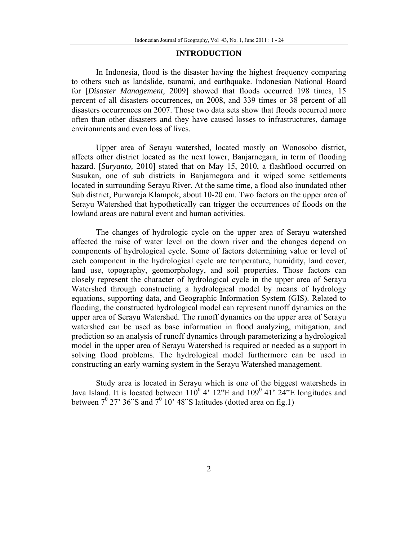### **INTRODUCTION**

In Indonesia, flood is the disaster having the highest frequency comparing to others such as landslide, tsunami, and earthquake. Indonesian National Board for [*Disaster Management,* 2009] showed that floods occurred 198 times, 15 percent of all disasters occurrences, on 2008, and 339 times or 38 percent of all disasters occurrences on 2007. Those two data sets show that floods occurred more often than other disasters and they have caused losses to infrastructures, damage environments and even loss of lives.

Upper area of Serayu watershed, located mostly on Wonosobo district, affects other district located as the next lower, Banjarnegara, in term of flooding hazard. [*Suryanto,* 2010] stated that on May 15, 2010, a flashflood occurred on Susukan, one of sub districts in Banjarnegara and it wiped some settlements located in surrounding Serayu River. At the same time, a flood also inundated other Sub district, Purwareja Klampok, about 10-20 cm. Two factors on the upper area of Serayu Watershed that hypothetically can trigger the occurrences of floods on the lowland areas are natural event and human activities.

The changes of hydrologic cycle on the upper area of Serayu watershed affected the raise of water level on the down river and the changes depend on components of hydrological cycle. Some of factors determining value or level of each component in the hydrological cycle are temperature, humidity, land cover, land use, topography, geomorphology, and soil properties. Those factors can closely represent the character of hydrological cycle in the upper area of Serayu Watershed through constructing a hydrological model by means of hydrology equations, supporting data, and Geographic Information System (GIS). Related to flooding, the constructed hydrological model can represent runoff dynamics on the upper area of Serayu Watershed. The runoff dynamics on the upper area of Serayu watershed can be used as base information in flood analyzing, mitigation, and prediction so an analysis of runoff dynamics through parameterizing a hydrological model in the upper area of Serayu Watershed is required or needed as a support in solving flood problems. The hydrological model furthermore can be used in constructing an early warning system in the Serayu Watershed management.

Study area is located in Serayu which is one of the biggest watersheds in Java Island. It is located between  $110^0$  4'  $12$ "E and  $109^0$  41'  $24$ "E longitudes and between  $7^0$  27' 36"S and  $7^0$  10' 48"S latitudes (dotted area on fig.1)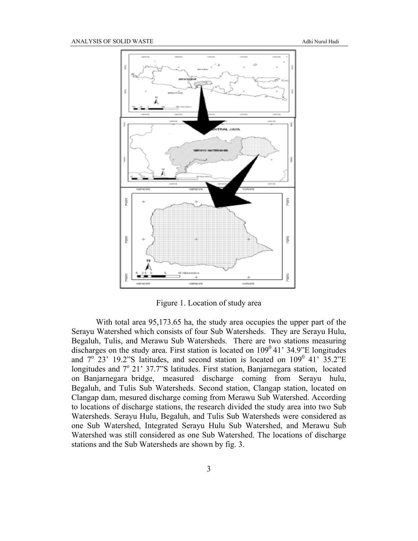

Figure 1. Location of study area

With total area 95,173.65 ha, the study area occupies the upper part of the Serayu Watershed which consists of four Sub Watersheds. They are Serayu Hulu, Begaluh, Tulis, and Merawu Sub Watersheds. There are two stations measuring discharges on the study area. First station is located on  $109^{\circ}$  41' 34.9"E longitudes and  $7^{\circ}$  23' 19.2"S latitudes, and second station is located on 109<sup>0</sup> 41' 35.2"E longitudes and  $7^{\circ}$  21' 37.7"S latitudes. First station, Banjarnegara station, located on Banjarnegara bridge, measured discharge coming from Serayu hulu, Begaluh, and Tulis Sub Watersheds. Second station, Clangap station, located on Clangap dam, mesured discharge coming from Merawu Sub Watershed. According to locations of discharge stations, the research divided the study area into two Sub Watersheds. Serayu Hulu, Begaluh, and Tulis Sub Watersheds were considered as one Sub Watershed, Integrated Serayu Hulu Sub Watershed, and Merawu Sub Watershed was still considered as one Sub Watershed. The locations of discharge stations and the Sub Watersheds are shown by fig. 3.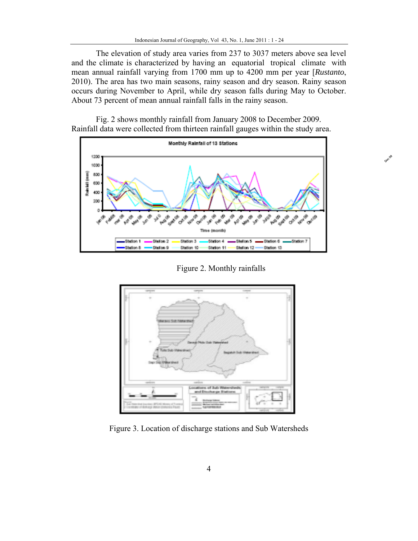The elevation of study area varies from 237 to 3037 meters above sea level and the climate is characterized by having an equatorial tropical climate with mean annual rainfall varying from 1700 mm up to 4200 mm per year [*Rustanto*, 2010). The area has two main seasons, rainy season and dry season. Rainy season occurs during November to April, while dry season falls during May to October. About 73 percent of mean annual rainfall falls in the rainy season.



Fig. 2 shows monthly rainfall from January 2008 to December 2009. Rainfall data were collected from thirteen rainfall gauges within the study area.

Figure 2. Monthly rainfalls

Dec<sub>09</sub>



Figure 3. Location of discharge stations and Sub Watersheds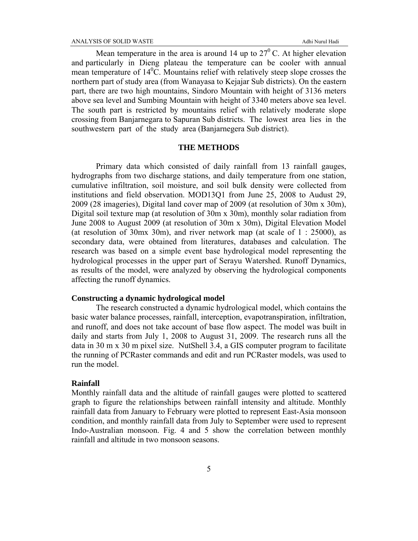Mean temperature in the area is around 14 up to  $27^{\circ}$  C. At higher elevation and particularly in Dieng plateau the temperature can be cooler with annual mean temperature of  $14^{\circ}$ C. Mountains relief with relatively steep slope crosses the northern part of study area (from Wanayasa to Kejajar Sub districts). On the eastern part, there are two high mountains, Sindoro Mountain with height of 3136 meters above sea level and Sumbing Mountain with height of 3340 meters above sea level. The south part is restricted by mountains relief with relatively moderate slope crossing from Banjarnegara to Sapuran Sub districts. The lowest area lies in the southwestern part of the study area (Banjarnegera Sub district).

### **THE METHODS**

Primary data which consisted of daily rainfall from 13 rainfall gauges, hydrographs from two discharge stations, and daily temperature from one station, cumulative infiltration, soil moisture, and soil bulk density were collected from institutions and field observation. MOD13Q1 from June 25, 2008 to Audust 29, 2009 (28 imageries), Digital land cover map of 2009 (at resolution of 30m x 30m), Digital soil texture map (at resolution of 30m x 30m), monthly solar radiation from June 2008 to August 2009 (at resolution of 30m x 30m), Digital Elevation Model (at resolution of 30mx 30m), and river network map (at scale of  $1: 25000$ ), as secondary data, were obtained from literatures, databases and calculation. The research was based on a simple event base hydrological model representing the hydrological processes in the upper part of Serayu Watershed. Runoff Dynamics, as results of the model, were analyzed by observing the hydrological components affecting the runoff dynamics.

### **Constructing a dynamic hydrological model**

The research constructed a dynamic hydrological model, which contains the basic water balance processes, rainfall, interception, evapotranspiration, infiltration, and runoff, and does not take account of base flow aspect. The model was built in daily and starts from July 1, 2008 to August 31, 2009. The research runs all the data in 30 m x 30 m pixel size. NutShell 3.4, a GIS computer program to facilitate the running of PCRaster commands and edit and run PCRaster models, was used to run the model.

## **Rainfall**

Monthly rainfall data and the altitude of rainfall gauges were plotted to scattered graph to figure the relationships between rainfall intensity and altitude. Monthly rainfall data from January to February were plotted to represent East-Asia monsoon condition, and monthly rainfall data from July to September were used to represent Indo-Australian monsoon. Fig. 4 and 5 show the correlation between monthly rainfall and altitude in two monsoon seasons.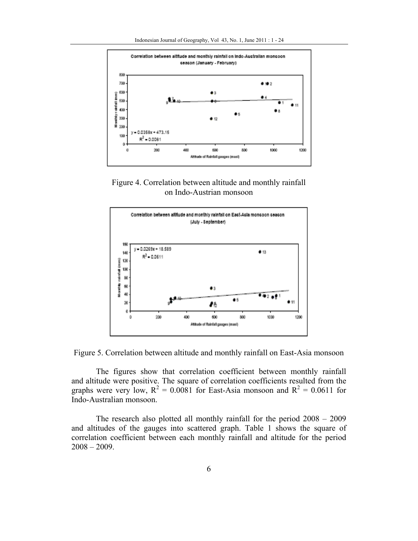

Figure 4. Correlation between altitude and monthly rainfall on Indo-Austrian monsoon



Figure 5. Correlation between altitude and monthly rainfall on East-Asia monsoon

The figures show that correlation coefficient between monthly rainfall and altitude were positive. The square of correlation coefficients resulted from the graphs were very low,  $R^2 = 0.0081$  for East-Asia monsoon and  $R^2 = 0.0611$  for Indo-Australian monsoon.

The research also plotted all monthly rainfall for the period 2008 – 2009 and altitudes of the gauges into scattered graph. Table 1 shows the square of correlation coefficient between each monthly rainfall and altitude for the period  $2008 - 2009$ .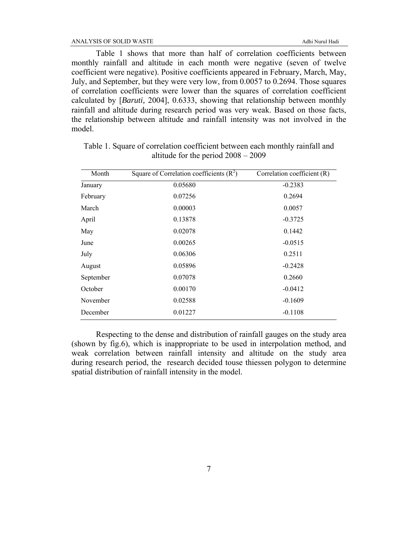ANALYSIS OF SOLID WASTE Adhi Nurul Hadi

Table 1 shows that more than half of correlation coefficients between monthly rainfall and altitude in each month were negative (seven of twelve coefficient were negative). Positive coefficients appeared in February, March, May, July, and September, but they were very low, from 0.0057 to 0.2694. Those squares of correlation coefficients were lower than the squares of correlation coefficient calculated by [*Baruti,* 2004], 0.6333, showing that relationship between monthly rainfall and altitude during research period was very weak. Based on those facts, the relationship between altitude and rainfall intensity was not involved in the model.

| Month     | Square of Correlation coefficients $(R^2)$ | Correlation coefficient (R) |
|-----------|--------------------------------------------|-----------------------------|
| January   | 0.05680                                    | $-0.2383$                   |
| February  | 0.07256                                    | 0.2694                      |
| March     | 0.00003                                    | 0.0057                      |
| April     | 0.13878                                    | $-0.3725$                   |
| May       | 0.02078                                    | 0.1442                      |
| June      | 0.00265                                    | $-0.0515$                   |
| July      | 0.06306                                    | 0.2511                      |
| August    | 0.05896                                    | $-0.2428$                   |
| September | 0.07078                                    | 0.2660                      |
| October   | 0.00170                                    | $-0.0412$                   |
| November  | 0.02588                                    | $-0.1609$                   |
| December  | 0.01227                                    | $-0.1108$                   |

Table 1. Square of correlation coefficient between each monthly rainfall and altitude for the period 2008 – 2009

Respecting to the dense and distribution of rainfall gauges on the study area (shown by fig.6), which is inappropriate to be used in interpolation method, and weak correlation between rainfall intensity and altitude on the study area during research period, the research decided touse thiessen polygon to determine spatial distribution of rainfall intensity in the model.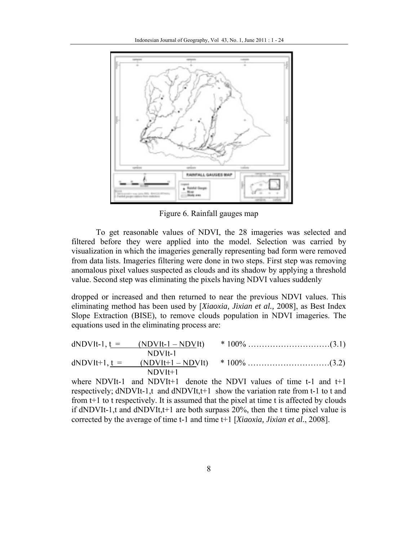

Figure 6. Rainfall gauges map

To get reasonable values of NDVI, the 28 imageries was selected and filtered before they were applied into the model. Selection was carried by visualization in which the imageries generally representing bad form were removed from data lists. Imageries filtering were done in two steps. First step was removing anomalous pixel values suspected as clouds and its shadow by applying a threshold value. Second step was eliminating the pixels having NDVI values suddenly

dropped or increased and then returned to near the previous NDVI values. This eliminating method has been used by [*Xiaoxia, Jixian et al.,* 2008], as Best Index Slope Extraction (BISE), to remove clouds population in NDVI imageries. The equations used in the eliminating process are:

| $dNDV$ lt-1, t = $(NDV$ lt-1 – NDV lt) |  |
|----------------------------------------|--|
| $NDV$ It-1                             |  |
|                                        |  |
| $NDV$ It $+1$                          |  |

where NDVIt-1 and NDVIt+1 denote the NDVI values of time t-1 and t+1 respectively; dNDVIt-1,t and dNDVIt,t+1 show the variation rate from t-1 to t and from t+1 to t respectively. It is assumed that the pixel at time t is affected by clouds if dNDVIt-1,t and dNDVIt,t+1 are both surpass 20%, then the t time pixel value is corrected by the average of time t-1 and time t+1 [*Xiaoxia, Jixian et al.*, 2008].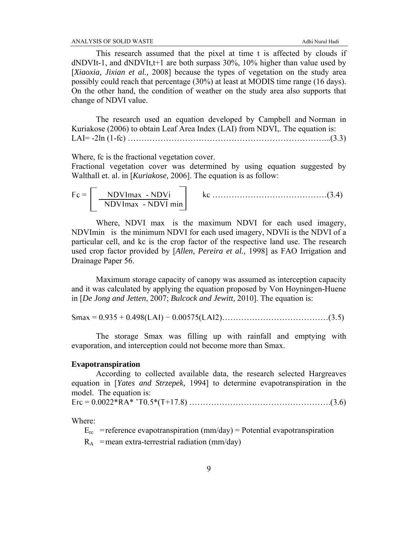This research assumed that the pixel at time t is affected by clouds if  $dNDVIt-1$ , and  $dNDVIt,t+1$  are both surpass 30%, 10% higher than value used by [*Xiaoxia, Jixian et al.,* 2008] because the types of vegetation on the study area possibly could reach that percentage (30%) at least at MODIS time range (16 days). On the other hand, the condition of weather on the study area also supports that change of NDVI value.

The research used an equation developed by Campbell and Norman in Kuriakose (2006) to obtain Leaf Area Index (LAI) from NDVI,. The equation is: LAI= -2ln (1-fc) ………………………………………………………………...(3.3)

Where, fc is the fractional vegetation cover.

Fractional vegetation cover was determined by using equation suggested by Walthall et. al. in [*Kuriakose,* 2006]. The equation is as follow:

$$
Fc = \boxed{\frac{NDVImax - NDVi}{NDVImax - NDVI min}}
$$
kc ... (3.4)

Where, NDVI max is the maximum NDVI for each used imagery, NDVImin is the minimum NDVI for each used imagery, NDVIi is the NDVI of a particular cell, and kc is the crop factor of the respective land use. The research used crop factor provided by [*Allen, Pereira et al.,* 1998] as FAO Irrigation and Drainage Paper 56.

Maximum storage capacity of canopy was assumed as interception capacity and it was calculated by applying the equation proposed by Von Hoyningen-Huene in [*De Jong and Jetten*, 2007; *Bulcock and Jewitt,* 2010]. The equation is:

Smax = 0.935 + 0.498(LAI) − 0.00575(LAI2)…………………………………(3.5)

The storage Smax was filling up with rainfall and emptying with evaporation, and interception could not become more than Smax.

### **Evapotranspiration**

According to collected available data, the research selected Hargreaves equation in [*Yates and Strzepek,* 1994] to determine evapotranspiration in the model. The equation is:

Erc = 0.0022\*RA\* 'T0.5\*(T+17.8) …………………………………………….(3.6)

Where:

 $E_{rc}$  = reference evapotranspiration (mm/day) = Potential evapotranspiration

 $R_A$  = mean extra-terrestrial radiation (mm/day)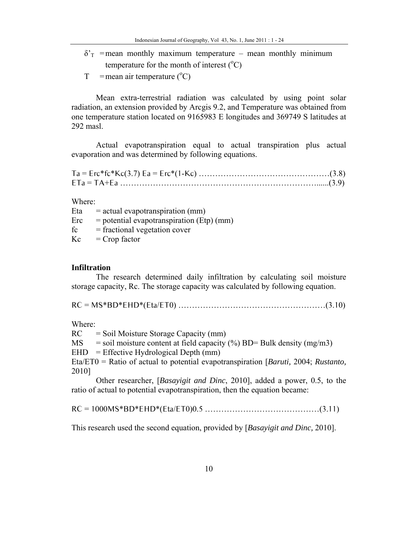$\delta'$ <sup>T</sup> = mean monthly maximum temperature – mean monthly minimum temperature for the month of interest  $(^{\circ}C)$ 

 $T =$ mean air temperature (°C)

Mean extra-terrestrial radiation was calculated by using point solar radiation, an extension provided by Arcgis 9.2, and Temperature was obtained from one temperature station located on 9165983 E longitudes and 369749 S latitudes at 292 masl.

Actual evapotranspiration equal to actual transpiration plus actual evaporation and was determined by following equations.

Ta = Erc\*fc\*Kc(3.7) Ea = Erc\*(1-Kc) …………………………………………(3.8) ETa = TA+Ea ………………………………………………………………......(3.9)

Where:

Eta  $=$  actual evapotranspiration (mm)  $\text{Erc}$  = potential evapotranspiration (Etp) (mm)  $fc = fractional vegetation cover$  $Kc =$  Crop factor

### **Infiltration**

The research determined daily infiltration by calculating soil moisture storage capacity, Rc. The storage capacity was calculated by following equation.

RC = MS\*BD\*EHD\*(Eta/ET0) ………………………………………………(3.10)

Where:

 $RC =$  Soil Moisture Storage Capacity (mm)

MS = soil moisture content at field capacity  $\left(\frac{\%}{\%}\right)$  BD= Bulk density (mg/m3)

 $EHD = Effective Hydrological Depth (mm)$ 

Eta/ET0 = Ratio of actual to potential evapotranspiration [*Baruti,* 2004; *Rustanto,* 2010]

Other researcher, [*Basayigit and Dinc*, 2010], added a power, 0.5, to the ratio of actual to potential evapotranspiration, then the equation became:

RC = 1000MS\*BD\*EHD\*(Eta/ET0)0.5 ……………………………………(3.11)

This research used the second equation, provided by [*Basayigit and Dinc,* 2010].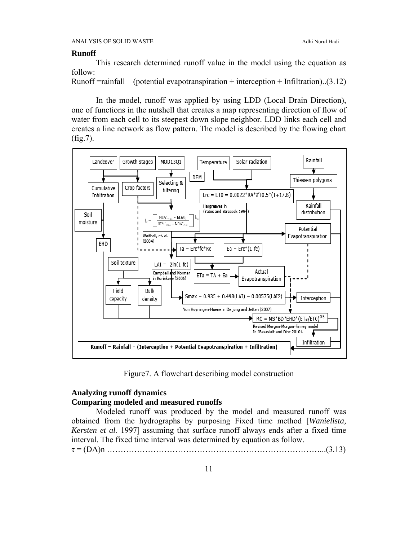#### **Runoff**

This research determined runoff value in the model using the equation as follow:

Runoff  $=$ rainfall – (potential evapotranspiration + interception + Infiltration)..(3.12)

In the model, runoff was applied by using LDD (Local Drain Direction), one of functions in the nutshell that creates a map representing direction of flow of water from each cell to its steepest down slope neighbor. LDD links each cell and creates a line network as flow pattern. The model is described by the flowing chart (fig.7).



Figure7. A flowchart describing model construction

# **Analyzing runoff dynamics Comparing modeled and measured runoffs**

Modeled runoff was produced by the model and measured runoff was obtained from the hydrographs by purposing Fixed time method [*Wanielista, Kersten et al.* 1997] assuming that surface runoff always ends after a fixed time interval. The fixed time interval was determined by equation as follow.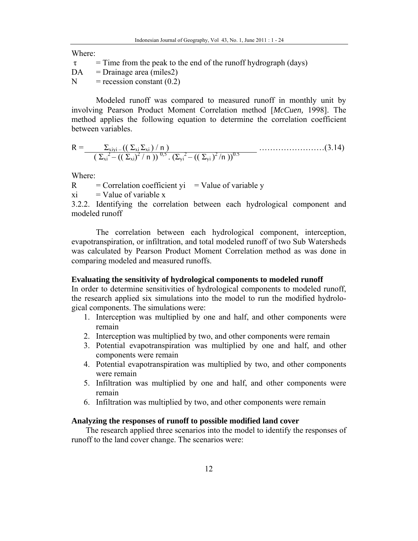Where:

 $\tau$  = Time from the peak to the end of the runoff hydrograph (days)

 $DA = Drainage area (miles2)$ 

 $N = \text{recession constant} (0.2)$ 

Modeled runoff was compared to measured runoff in monthly unit by involving Pearson Product Moment Correlation method [*McCuen,* 1998]. The method applies the following equation to determine the correlation coefficient between variables.

$$
R = \frac{\sum_{x_i y_i} \left( \left( \sum_{x_i} \sum_{x_i} \right) / n \right)}{\left( \sum_{x_i} \sum_{i} - \left( \left( \sum_{x_i} \right)^2 / n \right) \right)^{0,5} \cdot \left( \sum_{y_i} \sum_{i} \left( \left( \sum_{y_i} \right)^2 / n \right) \right)^{0.5}} \dots (3.14)
$$

Where:

 $R =$  Correlation coefficient yi = Value of variable y

 $xi =$ Value of variable x

3.2.2. Identifying the correlation between each hydrological component and modeled runoff

The correlation between each hydrological component, interception, evapotranspiration, or infiltration, and total modeled runoff of two Sub Watersheds was calculated by Pearson Product Moment Correlation method as was done in comparing modeled and measured runoffs.

## **Evaluating the sensitivity of hydrological components to modeled runoff**

In order to determine sensitivities of hydrological components to modeled runoff, the research applied six simulations into the model to run the modified hydrological components. The simulations were:

- 1. Interception was multiplied by one and half, and other components were remain
- 2. Interception was multiplied by two, and other components were remain
- 3. Potential evapotranspiration was multiplied by one and half, and other components were remain
- 4. Potential evapotranspiration was multiplied by two, and other components were remain
- 5. Infiltration was multiplied by one and half, and other components were remain
- 6. Infiltration was multiplied by two, and other components were remain

# **Analyzing the responses of runoff to possible modified land cover**

The research applied three scenarios into the model to identify the responses of runoff to the land cover change. The scenarios were: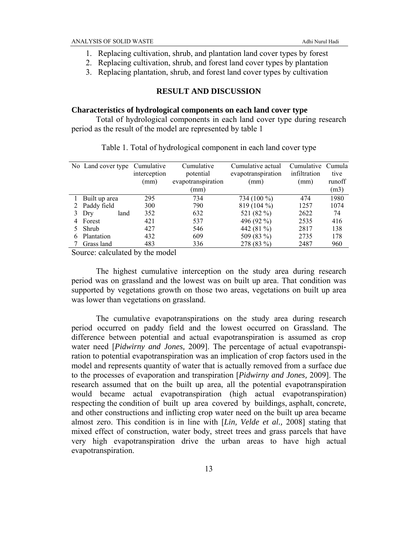- 1. Replacing cultivation, shrub, and plantation land cover types by forest
- 2. Replacing cultivation, shrub, and forest land cover types by plantation
- 3. Replacing plantation, shrub, and forest land cover types by cultivation

### **RESULT AND DISCUSSION**

#### **Characteristics of hydrological components on each land cover type**

Total of hydrological components in each land cover type during research period as the result of the model are represented by table 1

|   | No Land cover type | Cumulative   | Cumulative         | Cumulative actual  | Cumulative Cumula |        |
|---|--------------------|--------------|--------------------|--------------------|-------------------|--------|
|   |                    | interception | potential          | evapotranspiration | infiltration      | tive   |
|   |                    | (mm)         | evapotranspiration | (mm)               | (mm)              | runoff |
|   |                    |              | (mm)               |                    |                   | (m3)   |
|   | Built up area      | 295          | 734                | 734 (100 %)        | 474               | 1980   |
|   | 2 Paddy field      | 300          | 790                | 819 (104 %)        | 1257              | 1074   |
|   | Dry<br>land        | 352          | 632                | 521 (82 %)         | 2622              | 74     |
| 4 | Forest             | 421          | 537                | 496 (92 %)         | 2535              | 416    |
|   | Shrub              | 427          | 546                | 442 (81 %)         | 2817              | 138    |
| 6 | Plantation         | 432          | 609                | 509 (83 %)         | 2735              | 178    |
|   | Grass land         | 483          | 336                | 278 (83 %)         | 2487              | 960    |

Table 1. Total of hydrological component in each land cover type

Source: calculated by the model

The highest cumulative interception on the study area during research period was on grassland and the lowest was on built up area. That condition was supported by vegetations growth on those two areas, vegetations on built up area was lower than vegetations on grassland.

The cumulative evapotranspirations on the study area during research period occurred on paddy field and the lowest occurred on Grassland. The difference between potential and actual evapotranspiration is assumed as crop water need [*Pidwirny and Jones,* 2009]. The percentage of actual evapotranspiration to potential evapotranspiration was an implication of crop factors used in the model and represents quantity of water that is actually removed from a surface due to the processes of evaporation and transpiration [*Pidwirny and Jones,* 2009]. The research assumed that on the built up area, all the potential evapotranspiration would became actual evapotranspiration (high actual evapotranspiration) respecting the condition of built up area covered by buildings, asphalt, concrete, and other constructions and inflicting crop water need on the built up area became almost zero. This condition is in line with [*Lin, Velde et al.,* 2008] stating that mixed effect of construction, water body, street trees and grass parcels that have very high evapotranspiration drive the urban areas to have high actual evapotranspiration.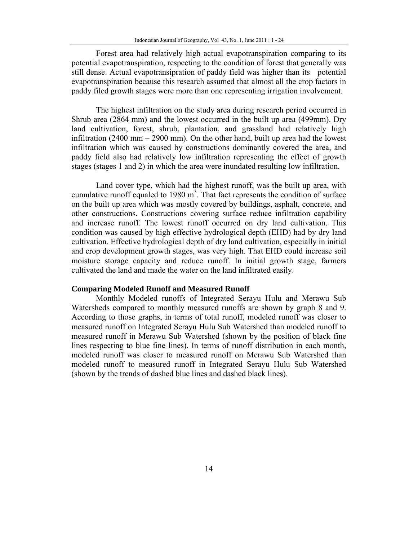Forest area had relatively high actual evapotranspiration comparing to its potential evapotranspiration, respecting to the condition of forest that generally was still dense. Actual evapotransipration of paddy field was higher than its potential evapotranspiration because this research assumed that almost all the crop factors in paddy filed growth stages were more than one representing irrigation involvement.

The highest infiltration on the study area during research period occurred in Shrub area (2864 mm) and the lowest occurred in the built up area (499mm). Dry land cultivation, forest, shrub, plantation, and grassland had relatively high infiltration (2400 mm – 2900 mm). On the other hand, built up area had the lowest infiltration which was caused by constructions dominantly covered the area, and paddy field also had relatively low infiltration representing the effect of growth stages (stages 1 and 2) in which the area were inundated resulting low infiltration.

Land cover type, which had the highest runoff, was the built up area, with cumulative runoff equaled to 1980  $m<sup>3</sup>$ . That fact represents the condition of surface on the built up area which was mostly covered by buildings, asphalt, concrete, and other constructions. Constructions covering surface reduce infiltration capability and increase runoff. The lowest runoff occurred on dry land cultivation. This condition was caused by high effective hydrological depth (EHD) had by dry land cultivation. Effective hydrological depth of dry land cultivation, especially in initial and crop development growth stages, was very high. That EHD could increase soil moisture storage capacity and reduce runoff. In initial growth stage, farmers cultivated the land and made the water on the land infiltrated easily.

### **Comparing Modeled Runoff and Measured Runoff**

Monthly Modeled runoffs of Integrated Serayu Hulu and Merawu Sub Watersheds compared to monthly measured runoffs are shown by graph 8 and 9. According to those graphs, in terms of total runoff, modeled runoff was closer to measured runoff on Integrated Serayu Hulu Sub Watershed than modeled runoff to measured runoff in Merawu Sub Watershed (shown by the position of black fine lines respecting to blue fine lines). In terms of runoff distribution in each month, modeled runoff was closer to measured runoff on Merawu Sub Watershed than modeled runoff to measured runoff in Integrated Serayu Hulu Sub Watershed (shown by the trends of dashed blue lines and dashed black lines).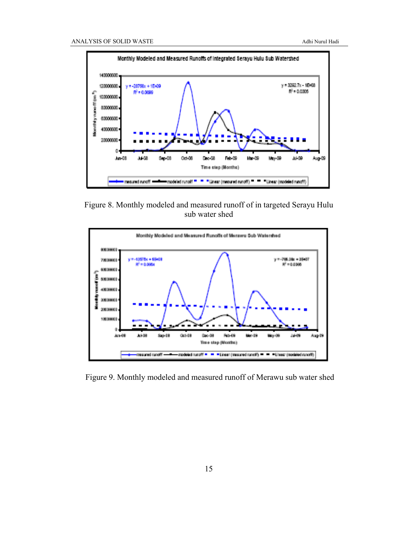

Figure 8. Monthly modeled and measured runoff of in targeted Serayu Hulu sub water shed



Figure 9. Monthly modeled and measured runoff of Merawu sub water shed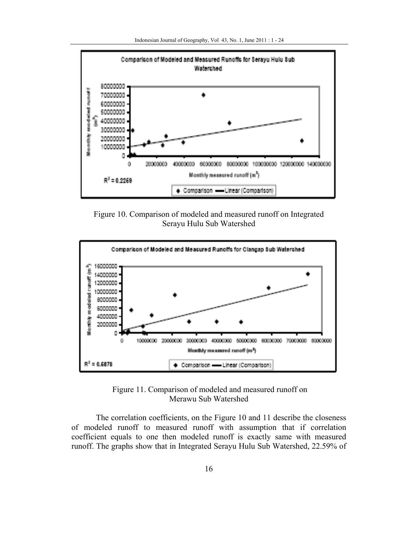

Figure 10. Comparison of modeled and measured runoff on Integrated Serayu Hulu Sub Watershed



 Figure 11. Comparison of modeled and measured runoff on Merawu Sub Watershed

The correlation coefficients, on the Figure 10 and 11 describe the closeness of modeled runoff to measured runoff with assumption that if correlation coefficient equals to one then modeled runoff is exactly same with measured runoff. The graphs show that in Integrated Serayu Hulu Sub Watershed, 22.59% of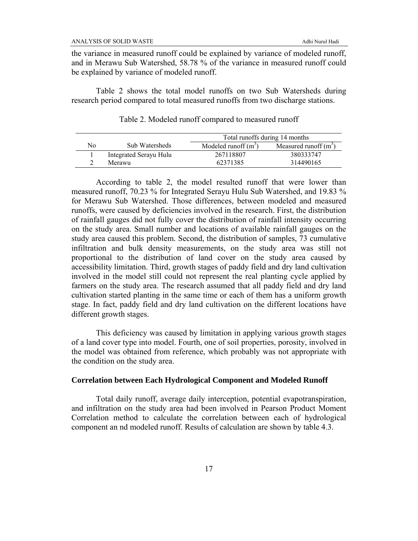the variance in measured runoff could be explained by variance of modeled runoff, and in Merawu Sub Watershed, 58.78 % of the variance in measured runoff could be explained by variance of modeled runoff.

Table 2 shows the total model runoffs on two Sub Watersheds during research period compared to total measured runoffs from two discharge stations.

|    |                        | Total runoffs during 14 months |                         |  |
|----|------------------------|--------------------------------|-------------------------|--|
| No | Sub Watersheds         | Modeled runoff $(m^3)$         | Measured runoff $(m^3)$ |  |
|    | Integrated Serayu Hulu | 267118807                      | 380333747               |  |
|    | Merawu                 | 62371385                       | 314490165               |  |

Table 2. Modeled runoff compared to measured runoff

According to table 2, the model resulted runoff that were lower than measured runoff, 70.23 % for Integrated Serayu Hulu Sub Watershed, and 19.83 % for Merawu Sub Watershed. Those differences, between modeled and measured runoffs, were caused by deficiencies involved in the research. First, the distribution of rainfall gauges did not fully cover the distribution of rainfall intensity occurring on the study area. Small number and locations of available rainfall gauges on the study area caused this problem. Second, the distribution of samples, 73 cumulative infiltration and bulk density measurements, on the study area was still not proportional to the distribution of land cover on the study area caused by accessibility limitation. Third, growth stages of paddy field and dry land cultivation involved in the model still could not represent the real planting cycle applied by farmers on the study area. The research assumed that all paddy field and dry land cultivation started planting in the same time or each of them has a uniform growth stage. In fact, paddy field and dry land cultivation on the different locations have different growth stages.

This deficiency was caused by limitation in applying various growth stages of a land cover type into model. Fourth, one of soil properties, porosity, involved in the model was obtained from reference, which probably was not appropriate with the condition on the study area.

### **Correlation between Each Hydrological Component and Modeled Runoff**

Total daily runoff, average daily interception, potential evapotranspiration, and infiltration on the study area had been involved in Pearson Product Moment Correlation method to calculate the correlation between each of hydrological component an nd modeled runoff. Results of calculation are shown by table 4.3.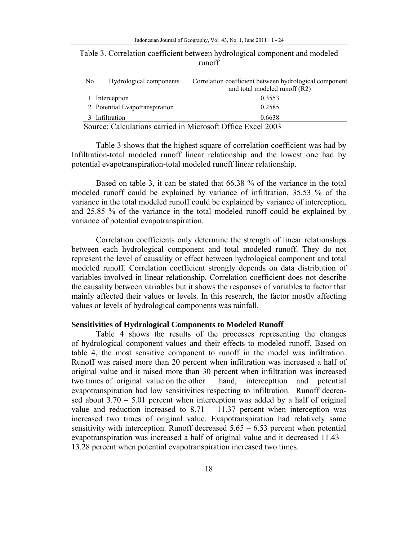| N <sub>0</sub> | Hydrological components        | Correlation coefficient between hydrological component<br>and total modeled runoff (R2) |
|----------------|--------------------------------|-----------------------------------------------------------------------------------------|
|                | 1 Interception                 | 0.3553                                                                                  |
|                | 2 Potential Evapotranspiration | 0.2585                                                                                  |
|                | 3 Infiltration                 | 0.6638                                                                                  |

Table 3. Correlation coefficient between hydrological component and modeled runoff

Table 3 shows that the highest square of correlation coefficient was had by Infiltration-total modeled runoff linear relationship and the lowest one had by potential evapotranspiration-total modeled runoff linear relationship.

Based on table 3, it can be stated that 66.38 % of the variance in the total modeled runoff could be explained by variance of infiltration, 35.53 % of the variance in the total modeled runoff could be explained by variance of interception, and 25.85 % of the variance in the total modeled runoff could be explained by variance of potential evapotranspiration.

Correlation coefficients only determine the strength of linear relationships between each hydrological component and total modeled runoff. They do not represent the level of causality or effect between hydrological component and total modeled runoff. Correlation coefficient strongly depends on data distribution of variables involved in linear relationship. Correlation coefficient does not describe the causality between variables but it shows the responses of variables to factor that mainly affected their values or levels. In this research, the factor mostly affecting values or levels of hydrological components was rainfall.

### **Sensitivities of Hydrological Components to Modeled Runoff**

Table 4 shows the results of the processes representing the changes of hydrological component values and their effects to modeled runoff. Based on table 4, the most sensitive component to runoff in the model was infiltration. Runoff was raised more than 20 percent when infiltration was increased a half of original value and it raised more than 30 percent when infiltration was increased two times of original value on the other hand, intercepttion and potential evapotranspiration had low sensitivities respecting to infiltration. Runoff decreased about  $3.70 - 5.01$  percent when interception was added by a half of original value and reduction increased to  $8.71 - 11.37$  percent when interception was increased two times of original value. Evapotranspiration had relatively same sensitivity with interception. Runoff decreased  $5.65 - 6.53$  percent when potential evapotranspiration was increased a half of original value and it decreased 11.43 – 13.28 percent when potential evapotranspiration increased two times.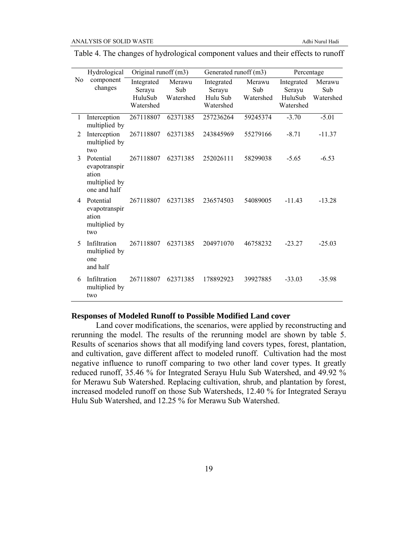|                | Hydrological                                                         | Original runoff (m3)                         |                            | Generated runoff (m3)                         |                            | Percentage                                   |                            |
|----------------|----------------------------------------------------------------------|----------------------------------------------|----------------------------|-----------------------------------------------|----------------------------|----------------------------------------------|----------------------------|
| N <sub>0</sub> | component<br>changes                                                 | Integrated<br>Serayu<br>HuluSub<br>Watershed | Merawu<br>Sub<br>Watershed | Integrated<br>Serayu<br>Hulu Sub<br>Watershed | Merawu<br>Sub<br>Watershed | Integrated<br>Serayu<br>HuluSub<br>Watershed | Merawu<br>Sub<br>Watershed |
| 1              | Interception<br>multiplied by                                        | 267118807                                    | 62371385                   | 257236264                                     | 59245374                   | $-3.70$                                      | $-5.01$                    |
| 2              | Interception<br>multiplied by<br>two                                 | 267118807                                    | 62371385                   | 243845969                                     | 55279166                   | $-8.71$                                      | $-11.37$                   |
| 3              | Potential<br>evapotranspir<br>ation<br>multiplied by<br>one and half | 267118807                                    | 62371385                   | 252026111                                     | 58299038                   | $-5.65$                                      | $-6.53$                    |
| 4              | Potential<br>evapotranspir<br>ation<br>multiplied by<br>two          | 267118807                                    | 62371385                   | 236574503                                     | 54089005                   | $-11.43$                                     | $-13.28$                   |
| 5              | Infiltration<br>multiplied by<br>one<br>and half                     | 267118807                                    | 62371385                   | 204971070                                     | 46758232                   | $-23.27$                                     | $-25.03$                   |
| 6              | Infiltration<br>multiplied by<br>two                                 | 267118807                                    | 62371385                   | 178892923                                     | 39927885                   | $-33.03$                                     | $-35.98$                   |

Table 4. The changes of hydrological component values and their effects to runoff

### **Responses of Modeled Runoff to Possible Modified Land cover**

Land cover modifications, the scenarios, were applied by reconstructing and rerunning the model. The results of the rerunning model are shown by table 5. Results of scenarios shows that all modifying land covers types, forest, plantation, and cultivation, gave different affect to modeled runoff. Cultivation had the most negative influence to runoff comparing to two other land cover types. It greatly reduced runoff, 35.46 % for Integrated Serayu Hulu Sub Watershed, and 49.92 % for Merawu Sub Watershed. Replacing cultivation, shrub, and plantation by forest, increased modeled runoff on those Sub Watersheds, 12.40 % for Integrated Serayu Hulu Sub Watershed, and 12.25 % for Merawu Sub Watershed.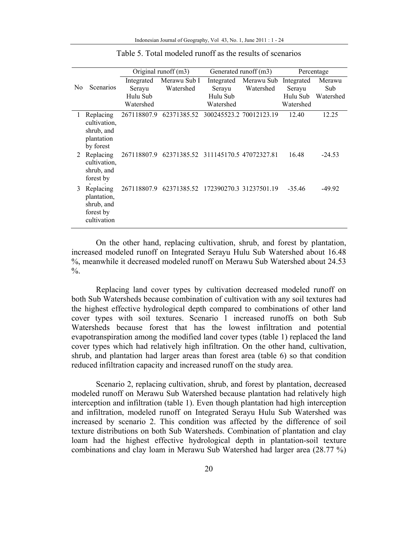|                |                                                                    | Original runoff (m3) |                                                 |                      | Generated runoff (m3)   |                      | Percentage    |
|----------------|--------------------------------------------------------------------|----------------------|-------------------------------------------------|----------------------|-------------------------|----------------------|---------------|
| N <sub>0</sub> | <b>Scenarios</b>                                                   | Integrated<br>Serayu | Merawu Sub I<br>Watershed                       | Integrated<br>Seravu | Merawu Sub<br>Watershed | Integrated<br>Serayu | Merawu<br>Sub |
|                |                                                                    | Hulu Sub             |                                                 | Hulu Sub             |                         | Hulu Sub             | Watershed     |
|                |                                                                    | Watershed            |                                                 | Watershed            |                         | Watershed            |               |
|                | Replacing<br>cultivation,<br>shrub, and<br>plantation<br>by forest | 267118807.9          | 62371385.52 300245523.2 70012123.19             |                      |                         | 12.40                | 12.25         |
| 2              | Replacing<br>cultivation,<br>shrub, and<br>forest by               |                      | 267118807.9 62371385.52 311145170.5 47072327.81 |                      |                         | 16.48                | $-24.53$      |
| 3              | Replacing<br>plantation,<br>shrub, and<br>forest by<br>cultivation |                      | 267118807.9 62371385.52 172390270.3 31237501.19 |                      |                         | $-35.46$             | $-49.92$      |

Table 5. Total modeled runoff as the results of scenarios

On the other hand, replacing cultivation, shrub, and forest by plantation, increased modeled runoff on Integrated Serayu Hulu Sub Watershed about 16.48 %, meanwhile it decreased modeled runoff on Merawu Sub Watershed about 24.53  $\frac{0}{0}$ .

Replacing land cover types by cultivation decreased modeled runoff on both Sub Watersheds because combination of cultivation with any soil textures had the highest effective hydrological depth compared to combinations of other land cover types with soil textures. Scenario 1 increased runoffs on both Sub Watersheds because forest that has the lowest infiltration and potential evapotranspiration among the modified land cover types (table 1) replaced the land cover types which had relatively high infiltration. On the other hand, cultivation, shrub, and plantation had larger areas than forest area (table 6) so that condition reduced infiltration capacity and increased runoff on the study area.

Scenario 2, replacing cultivation, shrub, and forest by plantation, decreased modeled runoff on Merawu Sub Watershed because plantation had relatively high interception and infiltration (table 1). Even though plantation had high interception and infiltration, modeled runoff on Integrated Serayu Hulu Sub Watershed was increased by scenario 2. This condition was affected by the difference of soil texture distributions on both Sub Watersheds. Combination of plantation and clay loam had the highest effective hydrological depth in plantation-soil texture combinations and clay loam in Merawu Sub Watershed had larger area (28.77 %)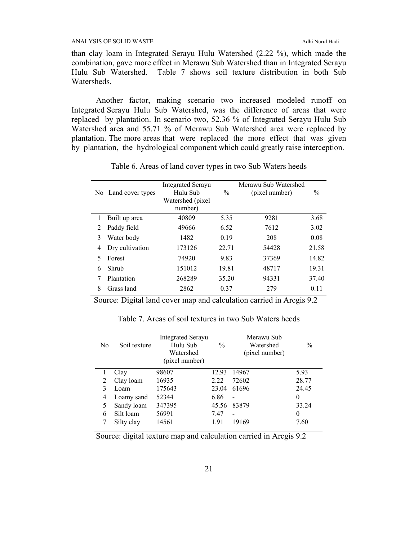than clay loam in Integrated Serayu Hulu Watershed (2.22 %), which made the combination, gave more effect in Merawu Sub Watershed than in Integrated Serayu Hulu Sub Watershed. Table 7 shows soil texture distribution in both Sub **Watersheds** 

Another factor, making scenario two increased modeled runoff on Integrated Serayu Hulu Sub Watershed, was the difference of areas that were replaced by plantation. In scenario two, 52.36 % of Integrated Serayu Hulu Sub Watershed area and 55.71 % of Merawu Sub Watershed area were replaced by plantation. The more areas that were replaced the more effect that was given by plantation, the hydrological component which could greatly raise interception.

| No. | Land cover types | <b>Integrated Serayu</b><br>Hulu Sub<br>Watershed (pixel)<br>number) | $\frac{0}{0}$ | Merawu Sub Watershed<br>(pixel number) | $\frac{0}{0}$ |
|-----|------------------|----------------------------------------------------------------------|---------------|----------------------------------------|---------------|
|     | Built up area    | 40809                                                                | 5.35          | 9281                                   | 3.68          |
|     |                  |                                                                      |               |                                        |               |
| 2   | Paddy field      | 49666                                                                | 6.52          | 7612                                   | 3.02          |
| 3   | Water body       | 1482                                                                 | 0.19          | 208                                    | 0.08          |
| 4   | Dry cultivation  | 173126                                                               | 22.71         | 54428                                  | 21.58         |
|     | Forest           | 74920                                                                | 9.83          | 37369                                  | 14.82         |
| 6   | Shrub            | 151012                                                               | 19.81         | 48717                                  | 19.31         |
|     | Plantation       | 268289                                                               | 35.20         | 94331                                  | 37.40         |
| 8   | Grass land       | 2862                                                                 | 0.37          | 279                                    | 0.11          |

Table 6. Areas of land cover types in two Sub Waters heeds

Source: Digital land cover map and calculation carried in Arcgis 9.2

| No | Soil texture | <b>Integrated Serayu</b><br>Hulu Sub<br>Watershed<br>(pixel number) | $\frac{0}{0}$ | Merawu Sub<br>Watershed<br>(pixel number) | $\frac{0}{0}$ |
|----|--------------|---------------------------------------------------------------------|---------------|-------------------------------------------|---------------|
|    | Clay         | 98607                                                               | 12.93         | 14967                                     | 5.93          |
| 2  | Clay loam    | 16935                                                               | 2.22          | 72602                                     | 28.77         |
| 3  | Loam         | 175643                                                              | 23.04         | 61696                                     | 24.45         |
| 4  | Loamy sand   | 52344                                                               | 6.86          |                                           | $\theta$      |
| 5  | Sandy loam   | 347395                                                              | 45.56         | 83879                                     | 33.24         |
| 6  | Silt loam    | 56991                                                               | 7.47          | $\blacksquare$                            | $\theta$      |
|    | Silty clay   | 14561                                                               | 191           | 19169                                     | 7.60          |

Table 7. Areas of soil textures in two Sub Waters heeds

Source: digital texture map and calculation carried in Arcgis 9.2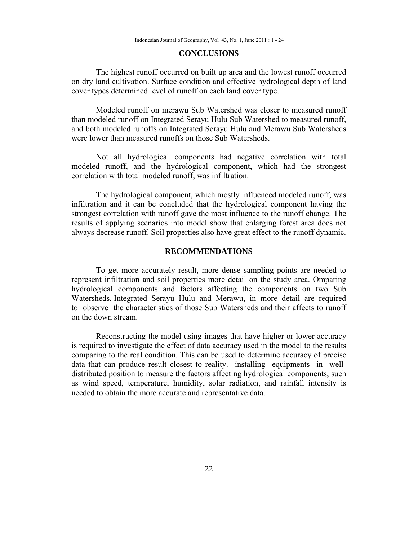### **CONCLUSIONS**

The highest runoff occurred on built up area and the lowest runoff occurred on dry land cultivation. Surface condition and effective hydrological depth of land cover types determined level of runoff on each land cover type.

Modeled runoff on merawu Sub Watershed was closer to measured runoff than modeled runoff on Integrated Serayu Hulu Sub Watershed to measured runoff, and both modeled runoffs on Integrated Serayu Hulu and Merawu Sub Watersheds were lower than measured runoffs on those Sub Watersheds.

Not all hydrological components had negative correlation with total modeled runoff, and the hydrological component, which had the strongest correlation with total modeled runoff, was infiltration.

The hydrological component, which mostly influenced modeled runoff, was infiltration and it can be concluded that the hydrological component having the strongest correlation with runoff gave the most influence to the runoff change. The results of applying scenarios into model show that enlarging forest area does not always decrease runoff. Soil properties also have great effect to the runoff dynamic.

## **RECOMMENDATIONS**

To get more accurately result, more dense sampling points are needed to represent infiltration and soil properties more detail on the study area. Omparing hydrological components and factors affecting the components on two Sub Watersheds, Integrated Serayu Hulu and Merawu, in more detail are required to observe the characteristics of those Sub Watersheds and their affects to runoff on the down stream.

Reconstructing the model using images that have higher or lower accuracy is required to investigate the effect of data accuracy used in the model to the results comparing to the real condition. This can be used to determine accuracy of precise data that can produce result closest to reality. installing equipments in welldistributed position to measure the factors affecting hydrological components, such as wind speed, temperature, humidity, solar radiation, and rainfall intensity is needed to obtain the more accurate and representative data.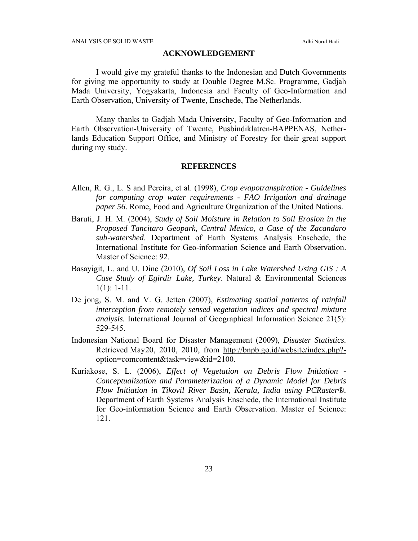### **ACKNOWLEDGEMENT**

I would give my grateful thanks to the Indonesian and Dutch Governments for giving me opportunity to study at Double Degree M.Sc. Programme, Gadjah Mada University, Yogyakarta, Indonesia and Faculty of Geo-Information and Earth Observation, University of Twente, Enschede, The Netherlands.

Many thanks to Gadjah Mada University, Faculty of Geo-Information and Earth Observation-University of Twente, Pusbindiklatren-BAPPENAS, Netherlands Education Support Office, and Ministry of Forestry for their great support during my study.

### **REFERENCES**

- Allen, R. G., L. S and Pereira, et al. (1998), *Crop evapotranspiration Guidelines for computing crop water requirements - FAO Irrigation and drainage paper 56*. Rome, Food and Agriculture Organization of the United Nations.
- Baruti, J. H. M. (2004), *Study of Soil Moisture in Relation to Soil Erosion in the Proposed Tancitaro Geopark, Central Mexico, a Case of the Zacandaro sub-watershed*. Department of Earth Systems Analysis Enschede, the International Institute for Geo-information Science and Earth Observation. Master of Science: 92.
- Basayigit, L. and U. Dinc (2010), *Of Soil Loss in Lake Watershed Using GIS : A Case Study of Egirdir Lake, Turkey*. Natural & Environmental Sciences  $1(1): 1-11.$
- De jong, S. M. and V. G. Jetten (2007), *Estimating spatial patterns of rainfall interception from remotely sensed vegetation indices and spectral mixture analysis.* International Journal of Geographical Information Science 21(5): 529-545.
- Indonesian National Board for Disaster Management (2009), *Disaster Statistics.*  Retrieved May 20, 2010, 2010, from http://bnpb.go.id/website/index.php?option=comcontent&task=view&id=2100.
- Kuriakose, S. L. (2006), *Effect of Vegetation on Debris Flow Initiation Conceptualization and Parameterization of a Dynamic Model for Debris Flow Initiation in Tikovil River Basin, Kerala, India using PCRaster®.*  Department of Earth Systems Analysis Enschede, the International Institute for Geo-information Science and Earth Observation. Master of Science: 121.